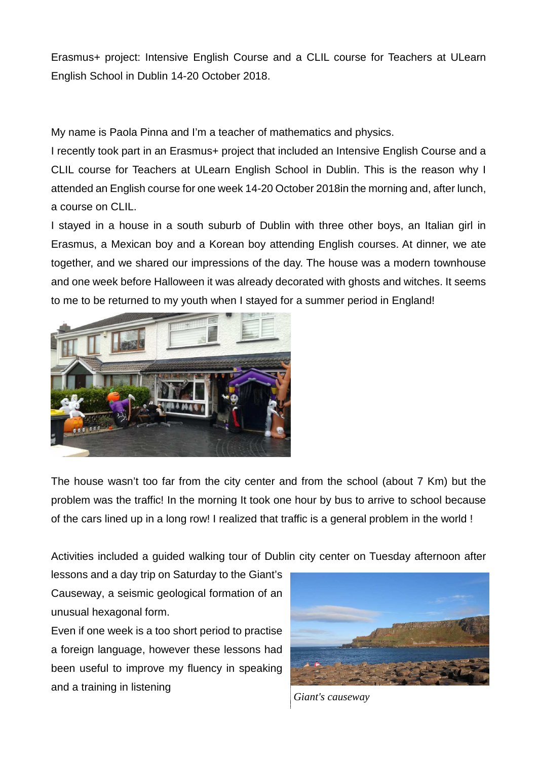Erasmus+ project: Intensive English Course and a CLIL course for Teachers at ULearn English School in Dublin 14-20 October 2018.

My name is Paola Pinna and I'm a teacher of mathematics and physics.

I recently took part in an Erasmus+ project that included an Intensive English Course and a CLIL course for Teachers at ULearn English School in Dublin. This is the reason why I attended an English course for one week 14-20 October 2018in the morning and, after lunch, a course on CLIL.

I stayed in a house in a south suburb of Dublin with three other boys, an Italian girl in Erasmus, a Mexican boy and a Korean boy attending English courses. At dinner, we ate together, and we shared our impressions of the day. The house was a modern townhouse and one week before Halloween it was already decorated with ghosts and witches. It seems to me to be returned to my youth when I stayed for a summer period in England!



The house wasn't too far from the city center and from the school (about 7 Km) but the problem was the traffic! In the morning It took one hour by bus to arrive to school because of the cars lined up in a long row! I realized that traffic is a general problem in the world !

Activities included a guided walking tour of Dublin city center on Tuesday afternoon after

lessons and a day trip on Saturday to the Giant's Causeway, a seismic geological formation of an unusual hexagonal form.

Even if one week is a too short period to practise a foreign language, however these lessons had been useful to improve my fluency in speaking and a training in listening



*Giant's causeway*